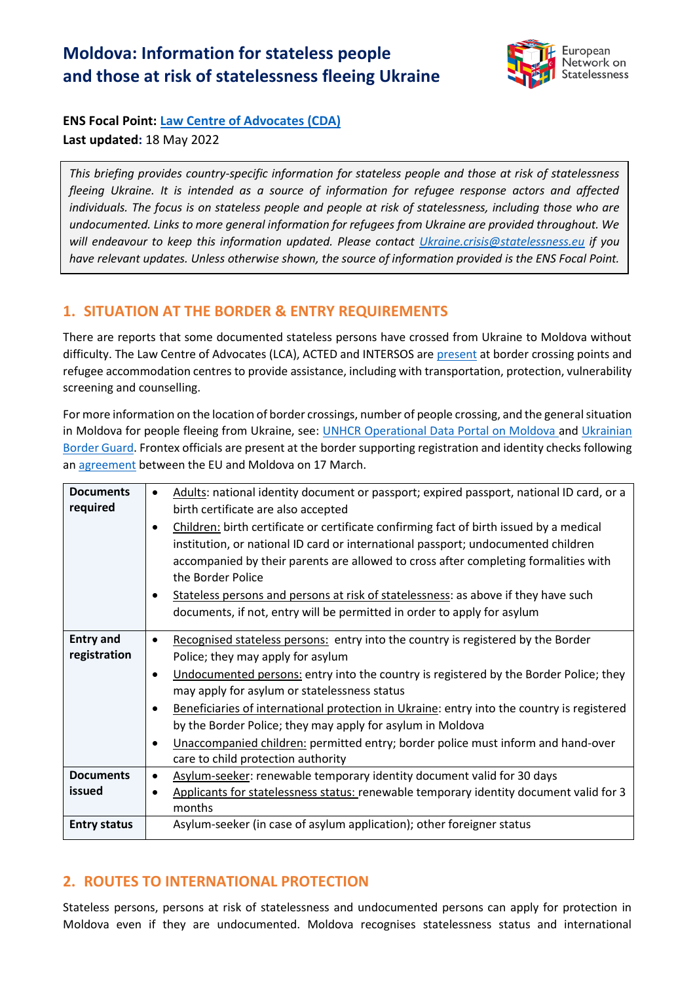# **Moldova: Information for stateless people and those at risk of statelessness fleeing Ukraine**



**ENS Focal Point: Law Centre [of Advocates \(CDA\)](https://cda.md/) Last updated:** 18 May 2022

*This briefing provides country-specific information for stateless people and those at risk of statelessness fleeing Ukraine. It is intended as a source of information for refugee response actors and affected individuals. The focus is on stateless people and people at risk of statelessness, including those who are undocumented. Links to more general information for refugees from Ukraine are provided throughout. We will endeavour to keep this information updated. Please contact [Ukraine.crisis@statelessness.eu](mailto:Ukraine.crisis@statelessness.eu) if you have relevant updates. Unless otherwise shown, the source of information provided is the ENS Focal Point.*

# **1. SITUATION AT THE BORDER & ENTRY REQUIREMENTS**

There are reports that some documented stateless persons have crossed from Ukraine to Moldova without difficulty. The Law Centre of Advocates (LCA), ACTED and INTERSOS are [present](https://data.unhcr.org/en/documents/details/93039) at border crossing points and refugee accommodation centres to provide assistance, including with transportation, protection, vulnerability screening and counselling.

For more information on the location of border crossings, number of people crossing, and the general situation in Moldova for people fleeing from Ukraine, see: [UNHCR Operational Data Portal on Moldova](https://data2.unhcr.org/en/situations/ukraine/location/10784) and [Ukrainian](https://dpsu.gov.ua/en/map/)  [Border Guard.](https://dpsu.gov.ua/en/map/) Frontex officials are present at the border supporting registration and identity checks following a[n agreement](https://ec.europa.eu/commission/presscorner/detail/en/ip_22_1844) between the EU and Moldova on 17 March.

| <b>Documents</b><br>required | Adults: national identity document or passport; expired passport, national ID card, or a<br>$\bullet$<br>birth certificate are also accepted<br>Children: birth certificate or certificate confirming fact of birth issued by a medical<br>$\bullet$<br>institution, or national ID card or international passport; undocumented children |
|------------------------------|-------------------------------------------------------------------------------------------------------------------------------------------------------------------------------------------------------------------------------------------------------------------------------------------------------------------------------------------|
|                              | accompanied by their parents are allowed to cross after completing formalities with<br>the Border Police                                                                                                                                                                                                                                  |
|                              | Stateless persons and persons at risk of statelessness: as above if they have such<br>documents, if not, entry will be permitted in order to apply for asylum                                                                                                                                                                             |
| <b>Entry and</b>             | Recognised stateless persons: entry into the country is registered by the Border<br>$\bullet$                                                                                                                                                                                                                                             |
| registration                 | Police; they may apply for asylum                                                                                                                                                                                                                                                                                                         |
|                              | Undocumented persons: entry into the country is registered by the Border Police; they<br>$\bullet$                                                                                                                                                                                                                                        |
|                              | may apply for asylum or statelessness status                                                                                                                                                                                                                                                                                              |
|                              | Beneficiaries of international protection in Ukraine: entry into the country is registered<br>$\bullet$                                                                                                                                                                                                                                   |
|                              | by the Border Police; they may apply for asylum in Moldova                                                                                                                                                                                                                                                                                |
|                              | Unaccompanied children: permitted entry; border police must inform and hand-over<br>$\bullet$                                                                                                                                                                                                                                             |
| <b>Documents</b>             | care to child protection authority                                                                                                                                                                                                                                                                                                        |
| issued                       | Asylum-seeker: renewable temporary identity document valid for 30 days<br>$\bullet$                                                                                                                                                                                                                                                       |
|                              | Applicants for statelessness status: renewable temporary identity document valid for 3<br>months                                                                                                                                                                                                                                          |
| <b>Entry status</b>          | Asylum-seeker (in case of asylum application); other foreigner status                                                                                                                                                                                                                                                                     |

# **2. ROUTES TO INTERNATIONAL PROTECTION**

Stateless persons, persons at risk of statelessness and undocumented persons can apply for protection in Moldova even if they are undocumented. Moldova recognises statelessness status and international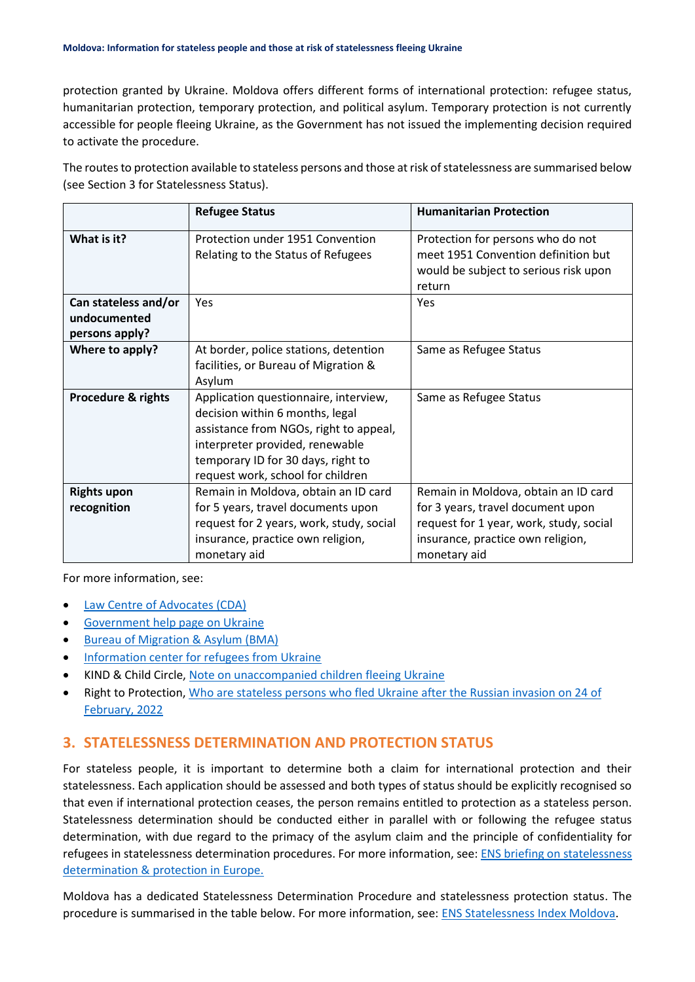protection granted by Ukraine. Moldova offers different forms of international protection: refugee status, humanitarian protection, temporary protection, and political asylum. Temporary protection is not currently accessible for people fleeing Ukraine, as the Government has not issued the implementing decision required to activate the procedure.

The routes to protection available to stateless persons and those at risk of statelessness are summarised below (see Section 3 for Statelessness Status).

|                                                        | <b>Refugee Status</b>                                                                                                                                                                                                            | <b>Humanitarian Protection</b>                                                                                                                                            |
|--------------------------------------------------------|----------------------------------------------------------------------------------------------------------------------------------------------------------------------------------------------------------------------------------|---------------------------------------------------------------------------------------------------------------------------------------------------------------------------|
| What is it?                                            | Protection under 1951 Convention<br>Relating to the Status of Refugees                                                                                                                                                           | Protection for persons who do not<br>meet 1951 Convention definition but<br>would be subject to serious risk upon<br>return                                               |
| Can stateless and/or<br>undocumented<br>persons apply? | Yes                                                                                                                                                                                                                              | Yes                                                                                                                                                                       |
| Where to apply?                                        | At border, police stations, detention<br>facilities, or Bureau of Migration &<br>Asylum                                                                                                                                          | Same as Refugee Status                                                                                                                                                    |
| <b>Procedure &amp; rights</b>                          | Application questionnaire, interview,<br>decision within 6 months, legal<br>assistance from NGOs, right to appeal,<br>interpreter provided, renewable<br>temporary ID for 30 days, right to<br>request work, school for children | Same as Refugee Status                                                                                                                                                    |
| <b>Rights upon</b><br>recognition                      | Remain in Moldova, obtain an ID card<br>for 5 years, travel documents upon<br>request for 2 years, work, study, social<br>insurance, practice own religion,<br>monetary aid                                                      | Remain in Moldova, obtain an ID card<br>for 3 years, travel document upon<br>request for 1 year, work, study, social<br>insurance, practice own religion,<br>monetary aid |

For more information, see:

- [Law Centre of Advocates \(CDA\)](https://cda.md/ru/2022/02/24/how-to-apply-for-asylum-in-moldova/)
- [Government help page on](https://dopomoga.gov.md/otvety-na-chasto-zadavaemye-voprosy-ru/) Ukraine
- [Bureau of Migration &](http://bma.gov.md/ro/content/solicitarea-azilului) Asylum (BMA)
- [Information center for refugees from Ukraine](https://simpals.999.md/help_refugees)
- KIND & Child Circle, [Note on unaccompanied children fleeing Ukraine](https://supportkind.org/wp-content/uploads/2022/03/Note-on-Unaccompanied-Children-Fleeing-from-Ukraine_Updated.pdf)
- Right to Protection, [Who are stateless persons who fled Ukraine after the Russian invasion on 24 of](https://r2p.org.ua/stateless-persons-fled-ukraine-after-2022/?lang=en)  [February, 2022](https://r2p.org.ua/stateless-persons-fled-ukraine-after-2022/?lang=en)

#### **3. STATELESSNESS DETERMINATION AND PROTECTION STATUS**

For stateless people, it is important to determine both a claim for international protection and their statelessness. Each application should be assessed and both types of status should be explicitly recognised so that even if international protection ceases, the person remains entitled to protection as a stateless person. Statelessness determination should be conducted either in parallel with or following the refugee status determination, with due regard to the primacy of the asylum claim and the principle of confidentiality for refugees in statelessness determination procedures. For more information, see: [ENS briefing on statelessness](https://index.statelessness.eu/sites/default/files/ENS-Statelessness_determination_and_protection_in_Europe-Sep_2021.pdf)  [determination & protection in Europe.](https://index.statelessness.eu/sites/default/files/ENS-Statelessness_determination_and_protection_in_Europe-Sep_2021.pdf)

Moldova has a dedicated Statelessness Determination Procedure and statelessness protection status. The procedure is summarised in the table below. For more information, see: [ENS Statelessness Index Moldova.](https://index.statelessness.eu/country/moldova)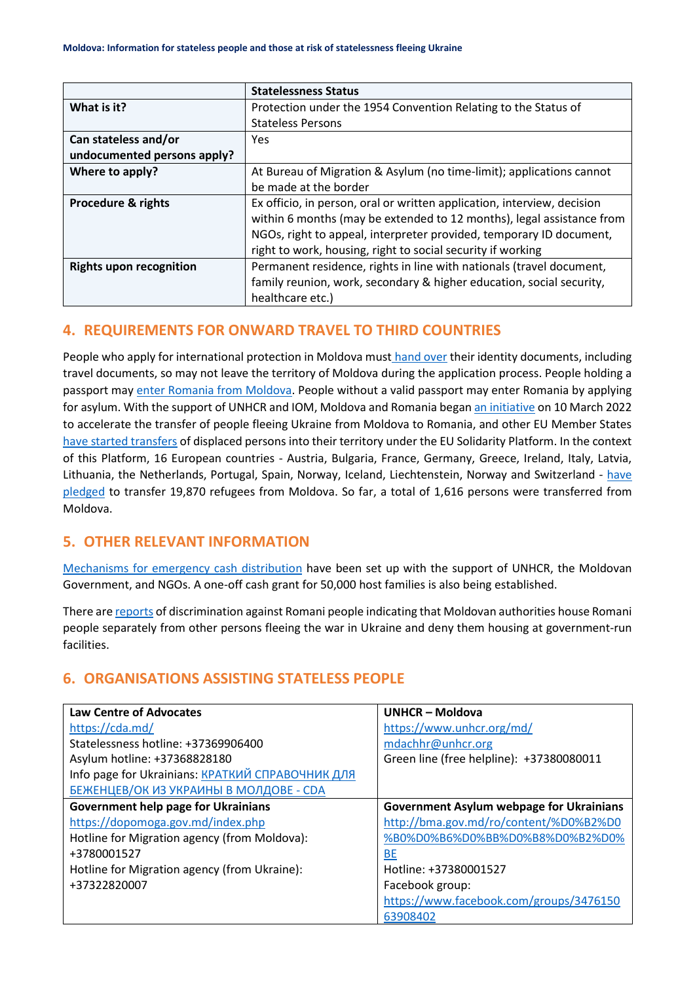|                                | <b>Statelessness Status</b>                                             |  |
|--------------------------------|-------------------------------------------------------------------------|--|
| What is it?                    | Protection under the 1954 Convention Relating to the Status of          |  |
|                                | <b>Stateless Persons</b>                                                |  |
| Can stateless and/or           | Yes.                                                                    |  |
| undocumented persons apply?    |                                                                         |  |
| Where to apply?                | At Bureau of Migration & Asylum (no time-limit); applications cannot    |  |
|                                | be made at the border                                                   |  |
| <b>Procedure &amp; rights</b>  | Ex officio, in person, oral or written application, interview, decision |  |
|                                | within 6 months (may be extended to 12 months), legal assistance from   |  |
|                                | NGOs, right to appeal, interpreter provided, temporary ID document,     |  |
|                                | right to work, housing, right to social security if working             |  |
| <b>Rights upon recognition</b> | Permanent residence, rights in line with nationals (travel document,    |  |
|                                | family reunion, work, secondary & higher education, social security,    |  |
|                                | healthcare etc.)                                                        |  |

# **4. REQUIREMENTS FOR ONWARD TRAVEL TO THIRD COUNTRIES**

People who apply for international protection in Moldova must [hand over](https://www.refworld.org/docid/4a27c07b2.html) their identity documents, including travel documents, so may not leave the territory of Moldova during the application process. People holding a passport may [enter](https://dopomoga.gov.md/otvety-na-chasto-zadavaemye-voprosy-ru/) Romania from Moldova. People without a valid passport may enter Romania by applying for asylum. With the support of UNHCR and IOM, Moldova and Romania bega[n an initiative](https://data2.unhcr.org/en/documents/details/91283) on 10 March 2022 to accelerate the transfer of people fleeing Ukraine from Moldova to Romania, and other EU Member States [have started transfers](https://euaa.europa.eu/sites/default/files/publications/2022-03/2022_situational_update_13_Ukraine_EN.pdf) of displaced persons into their territory under the EU Solidarity Platform. In the context of this Platform, 16 European countries - Austria, Bulgaria, France, Germany, Greece, Ireland, Italy, Latvia, Lithuania, the Netherlands, Portugal, Spain, Norway, Iceland, Liechtenstein, Norway and Switzerland - [have](https://data.unhcr.org/en/documents/details/93039)  [pledged](https://data.unhcr.org/en/documents/details/93039) to transfer 19,870 refugees from Moldova. So far, a total of 1,616 persons were transferred from Moldova.

# **5. OTHER RELEVANT INFORMATION**

[Mechanisms for emergency cash distribution](https://data2.unhcr.org/en/documents/details/91283) have been set up with the support of UNHCR, the Moldovan Government, and NGOs. A one-off cash grant for 50,000 host families is also being established.

There ar[e reports](https://www.hrw.org/news/2022/05/25/moldova-romani-refugees-ukraine-face-segregation) of discrimination against Romani people indicating that Moldovan authorities house Romani people separately from other persons fleeing the war in Ukraine and deny them housing at government-run facilities.

# **6. ORGANISATIONS ASSISTING STATELESS PEOPLE**

| <b>Law Centre of Advocates</b>                   | <b>UNHCR - Moldova</b>                          |
|--------------------------------------------------|-------------------------------------------------|
| https://cda.md/                                  | https://www.unhcr.org/md/                       |
| Statelessness hotline: +37369906400              | mdachhr@unhcr.org                               |
| Asylum hotline: +37368828180                     | Green line (free helpline): +37380080011        |
| Info page for Ukrainians: КРАТКИЙ СПРАВОЧНИК ДЛЯ |                                                 |
| БЕЖЕНЦЕВ/ОК ИЗ УКРАИНЫ В МОЛДОВЕ - СDA           |                                                 |
| <b>Government help page for Ukrainians</b>       | <b>Government Asylum webpage for Ukrainians</b> |
| https://dopomoga.gov.md/index.php                | http://bma.gov.md/ro/content/%D0%B2%D0          |
| Hotline for Migration agency (from Moldova):     | %B0%D0%B6%D0%BB%D0%B8%D0%B2%D0%                 |
| +3780001527                                      | <b>BE</b>                                       |
| Hotline for Migration agency (from Ukraine):     | Hotline: +37380001527                           |
| +37322820007                                     | Facebook group:                                 |
|                                                  | https://www.facebook.com/groups/3476150         |
|                                                  | 63908402                                        |